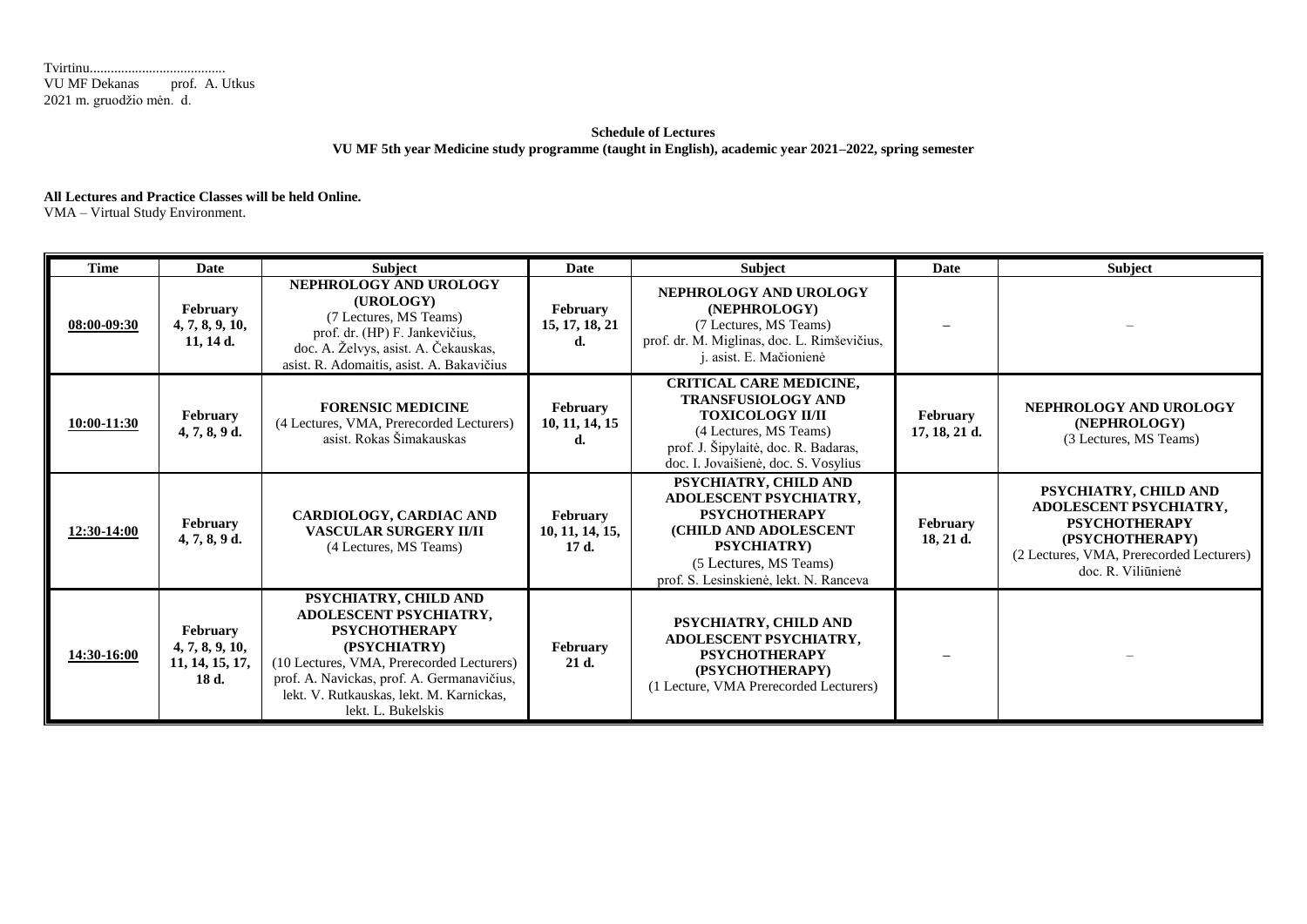Tvirtinu....................................... VU MF Dekanas prof. A. Utkus 2021 m. gruodžio mėn. d.

## **Schedule of Lectures VU MF 5th year Medicine study programme (taught in English), academic year 2021–2022, spring semester**

## **All Lectures and Practice Classes will be held Online.**

VMA – Virtual Study Environment.

| <b>Time</b> | Date                                                           | Subject                                                                                                                                                                                                                                              | <b>Date</b>                             | Subject                                                                                                                                                                                          | <b>Date</b>                      | <b>Subject</b>                                                                                                                                               |
|-------------|----------------------------------------------------------------|------------------------------------------------------------------------------------------------------------------------------------------------------------------------------------------------------------------------------------------------------|-----------------------------------------|--------------------------------------------------------------------------------------------------------------------------------------------------------------------------------------------------|----------------------------------|--------------------------------------------------------------------------------------------------------------------------------------------------------------|
| 08:00-09:30 | <b>February</b><br>4, 7, 8, 9, 10,<br>$11, 14$ d.              | NEPHROLOGY AND UROLOGY<br>(UROLOGY)<br>(7 Lectures, MS Teams)<br>prof. dr. (HP) F. Jankevičius,<br>doc. A. Želvys, asist. A. Čekauskas,<br>asist. R. Adomaitis, asist. A. Bakavičius                                                                 | <b>February</b><br>15, 17, 18, 21<br>d. | NEPHROLOGY AND UROLOGY<br>(NEPHROLOGY)<br>(7 Lectures, MS Teams)<br>prof. dr. M. Miglinas, doc. L. Rimševičius,<br>j. asist. E. Mačionienė                                                       |                                  |                                                                                                                                                              |
| 10:00-11:30 | February<br>$4, 7, 8, 9$ d.                                    | <b>FORENSIC MEDICINE</b><br>(4 Lectures, VMA, Prerecorded Lecturers)<br>asist. Rokas Šimakauskas                                                                                                                                                     | <b>February</b><br>10, 11, 14, 15<br>d. | <b>CRITICAL CARE MEDICINE,</b><br><b>TRANSFUSIOLOGY AND</b><br><b>TOXICOLOGY II/II</b><br>(4 Lectures, MS Teams)<br>prof. J. Šipylaitė, doc. R. Badaras,<br>doc. I. Jovaišienė, doc. S. Vosylius | <b>February</b><br>17, 18, 21 d. | NEPHROLOGY AND UROLOGY<br>(NEPHROLOGY)<br>(3 Lectures, MS Teams)                                                                                             |
| 12:30-14:00 | February<br>$4, 7, 8, 9$ d.                                    | <b>CARDIOLOGY, CARDIAC AND</b><br><b>VASCULAR SURGERY II/II</b><br>(4 Lectures, MS Teams)                                                                                                                                                            | February<br>10, 11, 14, 15,<br>17 d.    | PSYCHIATRY, CHILD AND<br>ADOLESCENT PSYCHIATRY,<br><b>PSYCHOTHERAPY</b><br>(CHILD AND ADOLESCENT<br><b>PSYCHIATRY</b><br>(5 Lectures, MS Teams)<br>prof. S. Lesinskienė, lekt. N. Ranceva        | February<br>$18, 21$ d.          | PSYCHIATRY, CHILD AND<br>ADOLESCENT PSYCHIATRY,<br><b>PSYCHOTHERAPY</b><br>(PSYCHOTHERAPY)<br>(2 Lectures, VMA, Prerecorded Lecturers)<br>doc. R. Viliūnienė |
| 14:30-16:00 | <b>February</b><br>4, 7, 8, 9, 10,<br>11, 14, 15, 17,<br>18 d. | PSYCHIATRY, CHILD AND<br>ADOLESCENT PSYCHIATRY,<br><b>PSYCHOTHERAPY</b><br>(PSYCHIATRY)<br>(10 Lectures, VMA, Prerecorded Lecturers)<br>prof. A. Navickas, prof. A. Germanavičius,<br>lekt. V. Rutkauskas, lekt. M. Karnickas,<br>lekt. L. Bukelskis | February<br>21 d.                       | PSYCHIATRY, CHILD AND<br>ADOLESCENT PSYCHIATRY,<br><b>PSYCHOTHERAPY</b><br>(PSYCHOTHERAPY)<br>(1 Lecture, VMA Prerecorded Lecturers)                                                             |                                  |                                                                                                                                                              |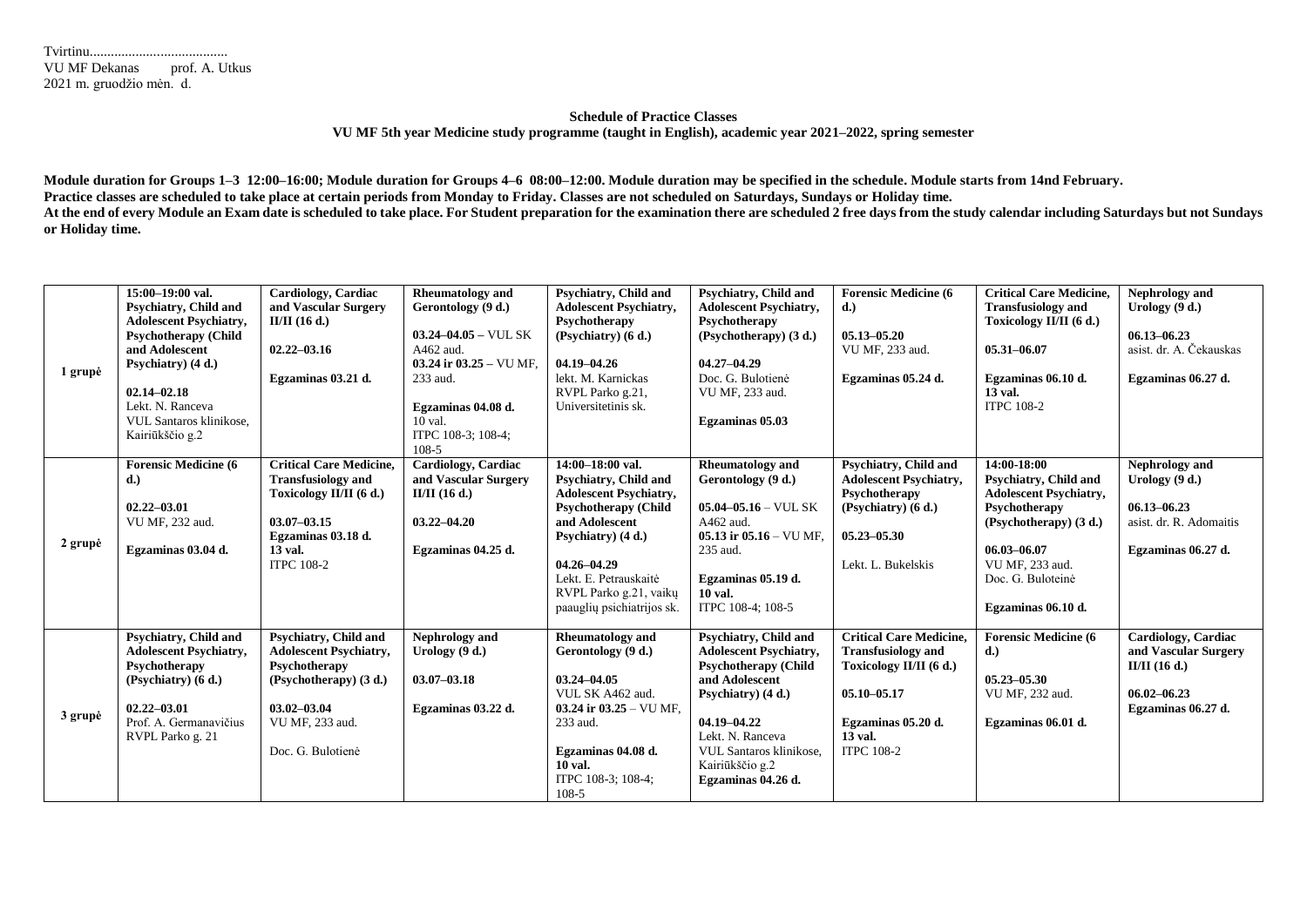| <b>VU MF Dekanas</b>     | prof. A. Utkus |
|--------------------------|----------------|
| 2021 m. gruodžio mėn. d. |                |

## **Schedule of Practice Classes VU MF 5th year Medicine study programme (taught in English), academic year 2021–2022, spring semester**

**Module duration for Groups 1–3 12:00–16:00; Module duration for Groups 4–6 08:00–12:00. Module duration may be specified in the schedule. Module starts from 14nd February. Practice classes are scheduled to take place at certain periods from Monday to Friday. Classes are not scheduled on Saturdays, Sundays or Holiday time.** At the end of every Module an Exam date is scheduled to take place. For Student preparation for the examination there are scheduled 2 free days from the study calendar including Saturdays but not Sundays **or Holiday time.**

| 1 grupė | 15:00-19:00 val.<br><b>Psychiatry, Child and</b><br><b>Adolescent Psychiatry,</b><br><b>Psychotherapy (Child</b><br>and Adolescent<br>Psychiatry) (4 d.)<br>$02.14 - 02.18$<br>Lekt. N. Ranceva<br><b>VUL Santaros klinikose.</b><br>Kairiūkščio g.2 | Cardiology, Cardiac<br>and Vascular Surgery<br>$II/II$ (16 d.)<br>$02.22 - 03.16$<br>Egzaminas 03.21 d.                                                         | <b>Rheumatology and</b><br>Gerontology (9 d.)<br>$03.24 - 04.05 -$ VUL SK<br>A462 aud.<br>03.24 ir $03.25 - \text{VU MF}$ .<br>233 aud.<br>Egzaminas 04.08 d.<br>10 val.<br>ITPC 108-3; 108-4;<br>$108-5$ | Psychiatry, Child and<br><b>Adolescent Psychiatry,</b><br>Psychotherapy<br>(Psychiatry) (6 d.)<br>04.19-04.26<br>lekt. M. Karnickas<br>RVPL Parko g.21,<br>Universitetinis sk.                                                                        | <b>Psychiatry, Child and</b><br><b>Adolescent Psychiatry,</b><br>Psychotherapy<br>(Psychotherapy) (3 d.)<br>$04.27 - 04.29$<br>Doc. G. Bulotienė<br>VU MF, 233 aud.<br>Egzaminas 05.03                                               | <b>Forensic Medicine (6)</b><br>d.)<br>$05.13 - 05.20$<br>VU MF, 233 aud.<br>Egzaminas 05.24 d.                                                                 | <b>Critical Care Medicine,</b><br><b>Transfusiology and</b><br>Toxicology II/II (6 d.)<br>$05.31 - 06.07$<br>Egzaminas 06.10 d.<br>13 val.<br><b>ITPC 108-2</b>                               | Nephrology and<br>Urology $(9 d.)$<br>$06.13 - 06.23$<br>asist. dr. A. Čekauskas<br>Egzaminas 06.27 d.  |
|---------|------------------------------------------------------------------------------------------------------------------------------------------------------------------------------------------------------------------------------------------------------|-----------------------------------------------------------------------------------------------------------------------------------------------------------------|-----------------------------------------------------------------------------------------------------------------------------------------------------------------------------------------------------------|-------------------------------------------------------------------------------------------------------------------------------------------------------------------------------------------------------------------------------------------------------|--------------------------------------------------------------------------------------------------------------------------------------------------------------------------------------------------------------------------------------|-----------------------------------------------------------------------------------------------------------------------------------------------------------------|-----------------------------------------------------------------------------------------------------------------------------------------------------------------------------------------------|---------------------------------------------------------------------------------------------------------|
| 2 grupė | <b>Forensic Medicine (6)</b><br>d.<br>$02.22 - 03.01$<br>VU MF, 232 aud.<br>Egzaminas 03.04 d.                                                                                                                                                       | <b>Critical Care Medicine.</b><br><b>Transfusiology and</b><br>Toxicology II/II (6 d.)<br>$03.07 - 03.15$<br>Egzaminas 03.18 d.<br>13 val.<br><b>ITPC 108-2</b> | Cardiology, Cardiac<br>and Vascular Surgery<br>$II/II$ (16 d.)<br>$03.22 - 04.20$<br>Egzaminas 04.25 d.                                                                                                   | 14:00-18:00 val.<br>Psychiatry, Child and<br><b>Adolescent Psychiatry,</b><br><b>Psychotherapy (Child</b><br>and Adolescent<br>Psychiatry) (4 d.)<br>$04.26 - 04.29$<br>Lekt. E. Petrauskaitė<br>RVPL Parko g.21, vaikų<br>paauglių psichiatrijos sk. | <b>Rheumatology</b> and<br>Gerontology (9 d.)<br>$05.04 - 05.16 -$ VUL SK<br>$A462$ aud.<br>05.13 ir $05.16 -$ VU MF.<br>235 aud.<br>Egzaminas 05.19 d.<br><b>10 val.</b><br>ITPC 108-4; 108-5                                       | <b>Psychiatry, Child and</b><br><b>Adolescent Psychiatry,</b><br>Psychotherapy<br>(Psychiatry) $(6 d.)$<br>$05.23 - 05.30$<br>Lekt. L. Bukelskis                | 14:00-18:00<br>Psychiatry, Child and<br><b>Adolescent Psychiatry,</b><br>Psychotherapy<br>(Psychotherapy) (3 d.)<br>06.03-06.07<br>VU MF, 233 aud.<br>Doc. G. Buloteinė<br>Egzaminas 06.10 d. | Nephrology and<br>Urology (9 d.)<br>$06.13 - 06.23$<br>asist. dr. R. Adomaitis<br>Egzaminas 06.27 d.    |
| 3 grupė | Psychiatry, Child and<br><b>Adolescent Psychiatry,</b><br>Psychotherapy<br>(Psychiatry) $(6 d.)$<br>$02.22 - 03.01$<br>Prof. A. Germanavičius<br>RVPL Parko g. 21                                                                                    | Psychiatry, Child and<br><b>Adolescent Psychiatry,</b><br>Psychotherapy<br>(Psychotherapy) (3 d.)<br>$03.02 - 03.04$<br>VU MF, 233 aud.<br>Doc. G. Bulotienė    | Nephrology and<br>Urology $(9 d.)$<br>$03.07 - 03.18$<br>Egzaminas 03.22 d.                                                                                                                               | <b>Rheumatology and</b><br>Gerontology (9 d.)<br>$03.24 - 04.05$<br>VUL SK A462 aud.<br>03.24 ir $03.25 - \text{VU MF}$ .<br>233 aud.<br>Egzaminas 04.08 d.<br>10 val.<br>ITPC 108-3; 108-4;<br>$108-5$                                               | Psychiatry, Child and<br><b>Adolescent Psychiatry,</b><br><b>Psychotherapy (Child</b><br>and Adolescent<br>Psychiatry) (4 d.)<br>04.19-04.22<br>Lekt. N. Ranceva<br>VUL Santaros klinikose,<br>Kairiūkščio g.2<br>Egzaminas 04.26 d. | <b>Critical Care Medicine,</b><br><b>Transfusiology and</b><br>Toxicology II/II (6 d.)<br>$05.10 - 05.17$<br>Egzaminas 05.20 d.<br>13 val.<br><b>ITPC 108-2</b> | <b>Forensic Medicine (6)</b><br>d.)<br>$05.23 - 05.30$<br>VU MF, 232 aud.<br>Egzaminas 06.01 d.                                                                                               | Cardiology, Cardiac<br>and Vascular Surgery<br>$II/II$ (16 d.)<br>$06.02 - 06.23$<br>Egzaminas 06.27 d. |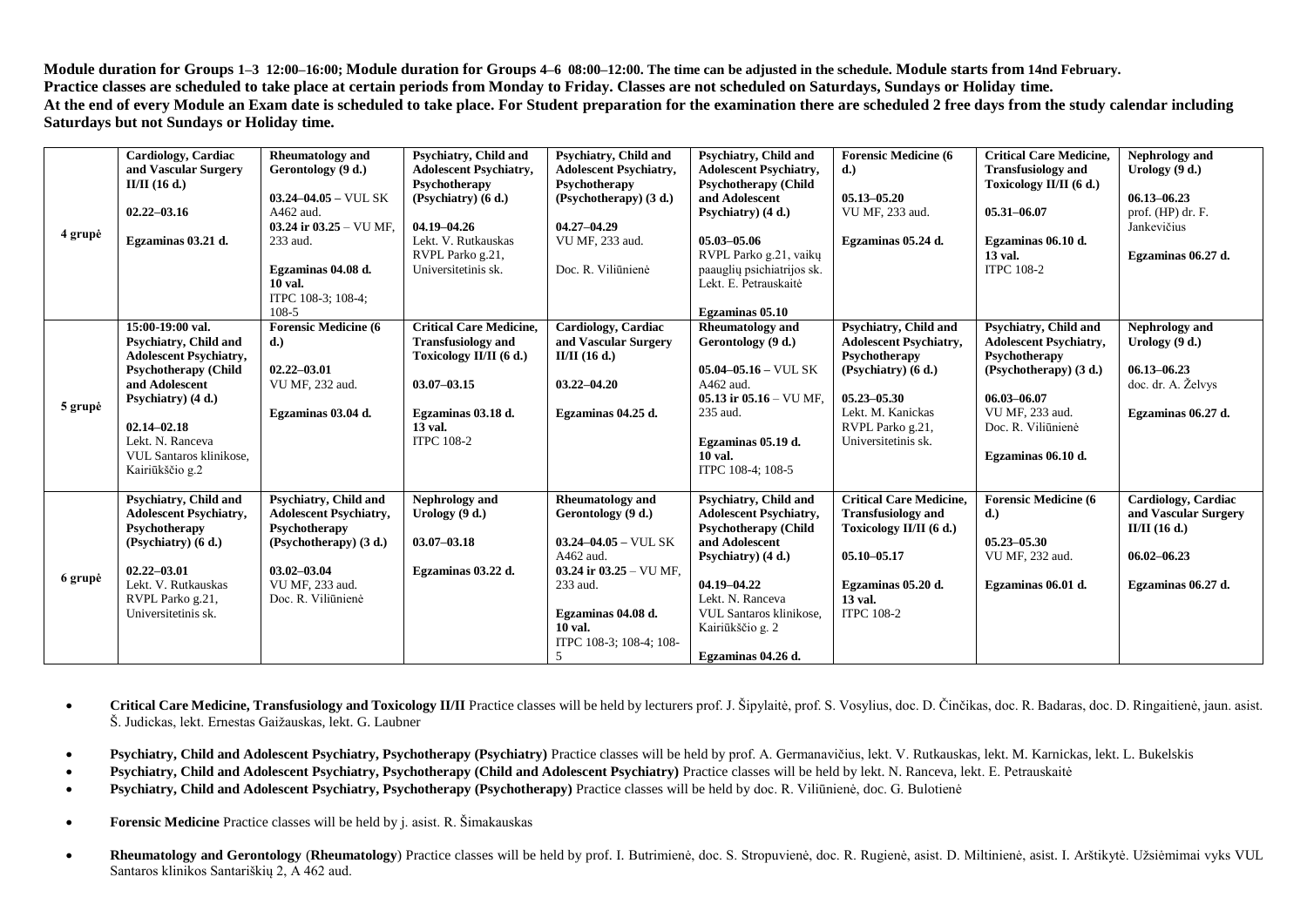**Module duration for Groups 1–3 12:00–16:00; Module duration for Groups 4–6 08:00–12:00. The time can be adjusted in the schedule. Module starts from 14nd February. Practice classes are scheduled to take place at certain periods from Monday to Friday. Classes are not scheduled on Saturdays, Sundays or Holiday time. At the end of every Module an Exam date is scheduled to take place. For Student preparation for the examination there are scheduled 2 free days from the study calendar including Saturdays but not Sundays or Holiday time.**

|         | <b>Cardiology</b> , Cardiac   | <b>Rheumatology and</b>           | Psychiatry, Child and          | <b>Psychiatry, Child and</b>               | Psychiatry, Child and         | <b>Forensic Medicine (6)</b>   | <b>Critical Care Medicine,</b> | Nephrology and       |
|---------|-------------------------------|-----------------------------------|--------------------------------|--------------------------------------------|-------------------------------|--------------------------------|--------------------------------|----------------------|
|         | and Vascular Surgery          | Gerontology (9 d.)                | <b>Adolescent Psychiatry,</b>  | <b>Adolescent Psychiatry,</b>              | <b>Adolescent Psychiatry,</b> | (d.)                           | <b>Transfusiology and</b>      | Urology $(9 d.)$     |
|         | $II/II$ (16 d.)               |                                   | Psychotherapy                  | Psychotherapy                              | Psychotherapy (Child          |                                | Toxicology II/II (6 d.)        |                      |
|         |                               | $03.24 - 04.05 -$ VUL SK          | (Psychiatry) (6 d.)            | (Psychotherapy) (3 d.)                     | and Adolescent                | $05.13 - 05.20$                |                                | $06.13 - 06.23$      |
|         | $02.22 - 03.16$               | A462 aud.                         |                                |                                            | Psychiatry) (4 d.)            | VU MF, 233 aud.                | $05.31 - 06.07$                | prof. (HP) dr. F.    |
|         |                               | 03.24 ir $03.25 - \text{VU MF}$ . | $04.19 - 04.26$                | $04.27 - 04.29$                            |                               |                                |                                | Jankevičius          |
| 4 grupė | Egzaminas 03.21 d.            | 233 aud.                          | Lekt. V. Rutkauskas            | VU MF, 233 aud.                            | 05.03-05.06                   | Egzaminas 05.24 d.             | Egzaminas 06.10 d.             |                      |
|         |                               |                                   | RVPL Parko g.21,               |                                            | RVPL Parko g.21, vaikų        |                                | 13 val.                        | Egzaminas 06.27 d.   |
|         |                               | Egzaminas 04.08 d.                | Universitetinis sk.            | Doc. R. Viliūnienė                         | paauglių psichiatrijos sk.    |                                | <b>ITPC 108-2</b>              |                      |
|         |                               | 10 val.                           |                                |                                            | Lekt. E. Petrauskaitė         |                                |                                |                      |
|         |                               | ITPC 108-3; 108-4;                |                                |                                            |                               |                                |                                |                      |
|         |                               | 108-5                             |                                |                                            | Egzaminas 05.10               |                                |                                |                      |
|         | 15:00-19:00 val.              | <b>Forensic Medicine (6)</b>      | <b>Critical Care Medicine.</b> | Cardiology, Cardiac                        | <b>Rheumatology</b> and       | Psychiatry, Child and          | Psychiatry, Child and          | Nephrology and       |
|         | Psychiatry, Child and         | d.)                               | <b>Transfusiology and</b>      | and Vascular Surgery                       | Gerontology (9 d.)            | <b>Adolescent Psychiatry,</b>  | <b>Adolescent Psychiatry,</b>  | Urology $(9 d.)$     |
|         | <b>Adolescent Psychiatry,</b> |                                   | Toxicology II/II (6 d.)        | $II/II$ (16 d.)                            |                               | Psychotherapy                  | Psychotherapy                  |                      |
|         | <b>Psychotherapy (Child</b>   | $02.22 - 03.01$                   |                                |                                            | $05.04 - 05.16 -$ VUL SK      | (Psychiatry) (6 d.)            | (Psychotherapy) (3 d.)         | $06.13 - 06.23$      |
|         | and Adolescent                | VU MF, 232 aud.                   | $03.07 - 03.15$                | $03.22 - 04.20$                            | A462 aud.                     |                                |                                | doc. dr. A. Želvys   |
| 5 grupė | Psychiatry) (4 d.)            |                                   |                                |                                            | 05.13 ir $05.16 -$ VU MF.     | $05.23 - 05.30$                | 06.03-06.07                    |                      |
|         |                               | Egzaminas 03.04 d.                | Egzaminas 03.18 d.             | Egzaminas 04.25 d.                         | 235 aud.                      | Lekt. M. Kanickas              | VU MF, 233 aud.                | Egzaminas 06.27 d.   |
|         | $02.14 - 02.18$               |                                   | 13 val.                        |                                            |                               | RVPL Parko g.21,               | Doc. R. Viliūnienė             |                      |
|         | Lekt. N. Ranceva              |                                   | <b>ITPC 108-2</b>              |                                            | Egzaminas 05.19 d.            | Universitetinis sk.            |                                |                      |
|         | VUL Santaros klinikose,       |                                   |                                |                                            | $10$ val.                     |                                | Egzaminas 06.10 d.             |                      |
|         | Kairiūkščio g.2               |                                   |                                |                                            | ITPC 108-4; 108-5             |                                |                                |                      |
|         |                               |                                   |                                |                                            |                               |                                |                                |                      |
|         | Psychiatry, Child and         | Psychiatry, Child and             | Nephrology and                 | <b>Rheumatology</b> and                    | Psychiatry, Child and         | <b>Critical Care Medicine,</b> | <b>Forensic Medicine (6)</b>   | Cardiology, Cardiac  |
| 6 grupė | <b>Adolescent Psychiatry,</b> | <b>Adolescent Psychiatry,</b>     | Urology $(9 d.)$               | Gerontology (9 d.)                         | <b>Adolescent Psychiatry,</b> | <b>Transfusiology and</b>      | d.)                            | and Vascular Surgery |
|         | Psychotherapy                 | Psychotherapy                     |                                |                                            | <b>Psychotherapy (Child</b>   | Toxicology II/II (6 d.)        |                                | II/II $(16 d.)$      |
|         | $(Psychiatrv)$ (6 d.)         | (Psychotherapy) (3 d.)            | $03.07 - 03.18$                | $03.24 - 04.05 -$ VUL SK                   | and Adolescent                |                                | $05.23 - 05.30$                |                      |
|         |                               |                                   |                                | A462 aud.                                  | Psychiatry) (4 d.)            | $05.10 - 05.17$                | VU MF, 232 aud.                | $06.02 - 06.23$      |
|         | $02.22 - 03.01$               | $03.02 - 03.04$                   | Egzaminas 03.22 d.             | 03.24 ir $03.25 - \text{VU MF}$ ,          |                               |                                |                                |                      |
|         | Lekt. V. Rutkauskas           | VU MF, 233 aud.                   |                                | 233 aud.                                   | 04.19-04.22                   | Egzaminas 05.20 d.<br>13 val.  | Egzaminas 06.01 d.             | Egzaminas 06.27 d.   |
|         | RVPL Parko g.21,              | Doc. R. Viliūnienė                |                                |                                            | Lekt. N. Ranceva              |                                |                                |                      |
|         | Universitetinis sk.           |                                   |                                | Egzaminas 04.08 d.<br>10 val.              | VUL Santaros klinikose,       | <b>ITPC 108-2</b>              |                                |                      |
|         |                               |                                   |                                |                                            | Kairiūkščio g. 2              |                                |                                |                      |
|         |                               |                                   |                                | ITPC 108-3; 108-4; 108-<br>$5\overline{)}$ |                               |                                |                                |                      |
|         |                               |                                   |                                |                                            | Egzaminas 04.26 d.            |                                |                                |                      |

- **Critical Care Medicine, Transfusiology and Toxicology II/II** Practice classes will be held by lecturers prof. J. Šipylaitė, prof. S. Vosylius, doc. D. Činčikas, doc. R. Badaras, doc. D. Ringaitienė, jaun. asist. Š. Judickas, lekt. Ernestas Gaižauskas, lekt. G. Laubner
- **Psychiatry, Child and Adolescent Psychiatry, Psychotherapy (Psychiatry)** Practice classes will be held by prof. A. Germanavičius, lekt. V. Rutkauskas, lekt. M. Karnickas, lekt. L. Bukelskis
- **Psychiatry, Child and Adolescent Psychiatry, Psychotherapy (Child and Adolescent Psychiatry)** Practice classes will be held by lekt. N. Ranceva, lekt. E. Petrauskaitė
- **Psychiatry, Child and Adolescent Psychiatry, Psychotherapy (Psychotherapy)** Practice classes will be held by doc. R. Viliūnienė, doc. G. Bulotienė
- **Forensic Medicine** Practice classes will be held by j. asist. R. Šimakauskas
- **Rheumatology and Gerontology** (**Rheumatology**) Practice classes will be held by prof. I. Butrimienė, doc. S. Stropuvienė, doc. R. Rugienė, asist. D. Miltinienė, asist. I. Arštikytė. Užsiėmimai vyks VUL Santaros klinikos Santariškių 2, A 462 aud.